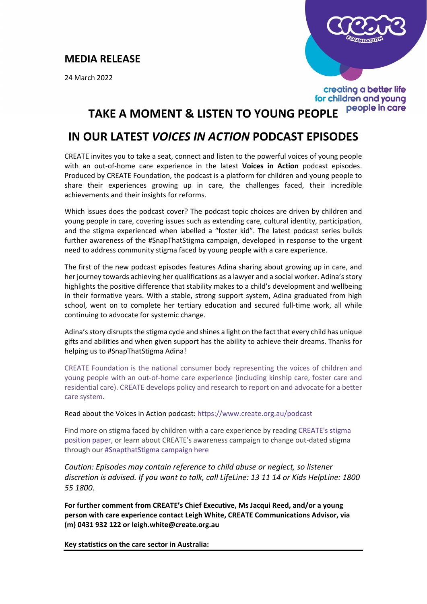## **MEDIA RELEASE**

24 March 2022



creating a better life for children and young people in care

## **TAKE A MOMENT & LISTEN TO YOUNG PEOPLE**

## **IN OUR LATEST** *VOICES IN ACTION* **PODCAST EPISODES**

CREATE invites you to take a seat, connect and listen to the powerful voices of young people with an out-of-home care experience in the latest **Voices in Action** podcast episodes. Produced by CREATE Foundation, the podcast is a platform for children and young people to share their experiences growing up in care, the challenges faced, their incredible achievements and their insights for reforms.

Which issues does the podcast cover? The podcast topic choices are driven by children and young people in care, covering issues such as extending care, cultural identity, participation, and the stigma experienced when labelled a "foster kid". The latest podcast series builds further awareness of the #SnapThatStigma campaign, developed in response to the urgent need to address community stigma faced by young people with a care experience.

The first of the new podcast episodes features Adina sharing about growing up in care, and her journey towards achieving her qualifications as a lawyer and a social worker. Adina's story highlights the positive difference that stability makes to a child's development and wellbeing in their formative years. With a stable, strong support system, Adina graduated from high school, went on to complete her tertiary education and secured full-time work, all while continuing to advocate for systemic change.

Adina's story disrupts the stigma cycle and shines a light on the fact that every child has unique gifts and abilities and when given support has the ability to achieve their dreams. Thanks for helping us to #SnapThatStigma Adina!

CREATE Foundation is the national consumer body representing the voices of children and young people with an out-of-home care experience (including kinship care, foster care and residential care). CREATE develops policy and research to report on and advocate for a better care system.

Read about the Voices in Action podcast:<https://www.create.org.au/podcast>

Find more on stigma faced by children with a care experience by reading [CREATE's stigma](https://create.org.au/snap-that-stigma/)  [position paper,](https://create.org.au/snap-that-stigma/) or learn about CREATE's awareness campaign to change out-dated stigma through our [#SnapthatStigma campaign here](https://createfoundation.cmail20.com/t/d-l-mlkbjt-ihdlhddjd-k/)

*Caution: Episodes may contain reference to child abuse or neglect, so listener discretion is advised. If you want to talk, call LifeLine: 13 11 14 or Kids HelpLine: 1800 55 1800.* 

**For further comment from CREATE's Chief Executive, Ms Jacqui Reed, and/or a young person with care experience contact Leigh White, CREATE Communications Advisor, via (m) 0431 932 122 or leigh.white@create.org.au** 

**Key statistics on the care sector in Australia:**